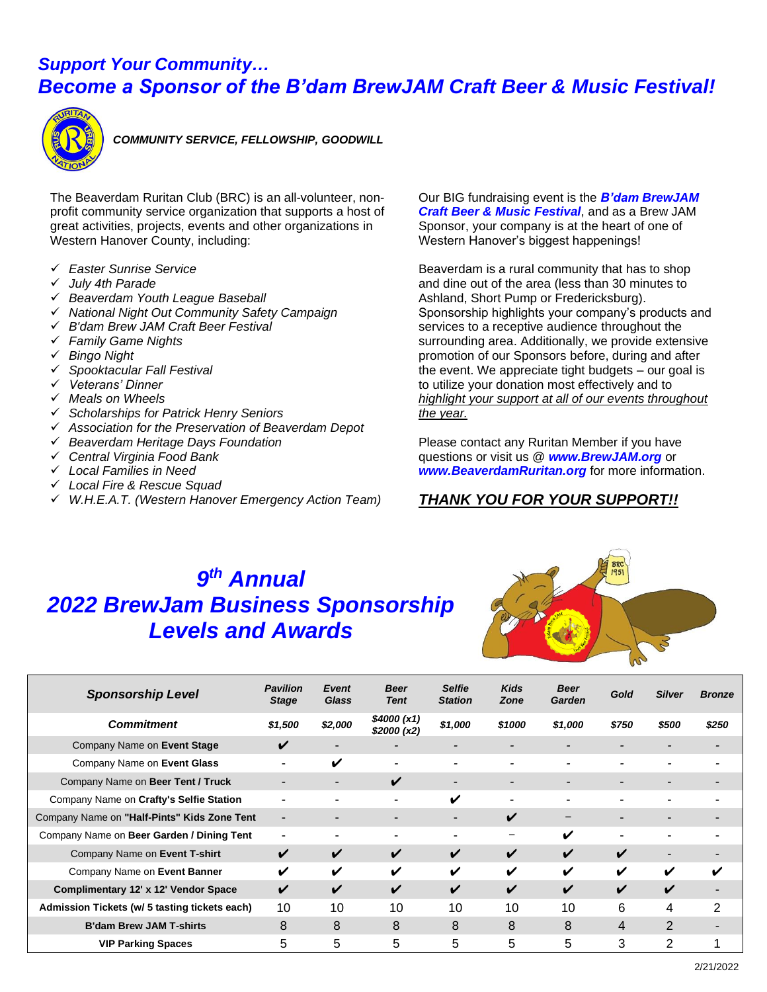### *Support Your Community… Become a Sponsor of the B'dam BrewJAM Craft Beer & Music Festival!*



 *COMMUNITY SERVICE, FELLOWSHIP, GOODWILL*

The Beaverdam Ruritan Club (BRC) is an all-volunteer, nonprofit community service organization that supports a host of great activities, projects, events and other organizations in Western Hanover County, including:

- ✓ *Easter Sunrise Service*
- ✓ *July 4th Parade*
- ✓ *Beaverdam Youth League Baseball*
- ✓ *National Night Out Community Safety Campaign*
- ✓ *B'dam Brew JAM Craft Beer Festival*
- ✓ *Family Game Nights*
- ✓ *Bingo Night*
- ✓ *Spooktacular Fall Festival*
- ✓ *Veterans' Dinner*
- ✓ *Meals on Wheels*
- ✓ *Scholarships for Patrick Henry Seniors*
- ✓ *Association for the Preservation of Beaverdam Depot*
- ✓ *Beaverdam Heritage Days Foundation*
- ✓ *Central Virginia Food Bank*
- ✓ *Local Families in Need*
- ✓ *Local Fire & Rescue Squad*
- ✓ *W.H.E.A.T. (Western Hanover Emergency Action Team)*

Our BIG fundraising event is the *B'dam BrewJAM Craft Beer & Music Festival*, and as a Brew JAM Sponsor, your company is at the heart of one of Western Hanover's biggest happenings!

Beaverdam is a rural community that has to shop and dine out of the area (less than 30 minutes to Ashland, Short Pump or Fredericksburg). Sponsorship highlights your company's products and services to a receptive audience throughout the surrounding area. Additionally, we provide extensive promotion of our Sponsors before, during and after the event. We appreciate tight budgets – our goal is to utilize your donation most effectively and to *highlight your support at all of our events throughout the year.* 

Please contact any Ruritan Member if you have questions or visit us @ *www.BrewJAM.org* or *[www.BeaverdamRuritan.org](http://www.beaverdamruritan.org/)* for more information.

### *THANK YOU FOR YOUR SUPPORT!!*

## *9 th Annual 2022 BrewJam Business Sponsorship Levels and Awards*



| <b>Sponsorship Level</b>                      | <b>Pavilion</b><br><b>Stage</b> | Event<br>Glass           | <b>Beer</b><br><b>Tent</b> | <b>Selfie</b><br><b>Station</b> | <b>Kids</b><br>Zone | <b>Beer</b><br>Garden | Gold           | <b>Silver</b>      | <b>Bronze</b> |
|-----------------------------------------------|---------------------------------|--------------------------|----------------------------|---------------------------------|---------------------|-----------------------|----------------|--------------------|---------------|
| <b>Commitment</b>                             | \$1,500                         | \$2,000                  | \$4000 (x1)<br>\$2000(x2)  | \$1,000                         | \$1000              | \$1,000               | \$750          | \$500              | \$250         |
| Company Name on Event Stage                   |                                 | $\overline{\phantom{0}}$ |                            |                                 |                     |                       | -              | -                  |               |
| Company Name on Event Glass                   |                                 | V                        |                            |                                 |                     |                       | -              |                    |               |
| Company Name on Beer Tent / Truck             |                                 | $\overline{\phantom{0}}$ | ✓                          |                                 |                     |                       |                | -                  |               |
| Company Name on Crafty's Selfie Station       |                                 |                          |                            | ✔                               |                     |                       |                |                    |               |
| Company Name on "Half-Pints" Kids Zone Tent   |                                 | -                        |                            | -                               | ✔                   |                       | -              | -                  |               |
| Company Name on Beer Garden / Dining Tent     |                                 |                          |                            |                                 |                     | ✔                     | $\blacksquare$ |                    |               |
| Company Name on Event T-shirt                 | ✓                               | V                        | ✓                          | ✔                               | ✓                   | ✔                     | V              | -                  |               |
| Company Name on Event Banner                  | ✔                               | ✓                        | ✔                          | ✔                               | ✔                   | V                     | V              | V                  | ✔             |
| Complimentary 12' x 12' Vendor Space          | V                               | V                        | $\boldsymbol{\nu}$         | ✔                               | ✔                   | ✔                     | ✔              | $\boldsymbol{\nu}$ |               |
| Admission Tickets (w/ 5 tasting tickets each) | 10                              | 10                       | 10                         | 10                              | 10                  | 10                    | 6              | 4                  | 2             |
| <b>B'dam Brew JAM T-shirts</b>                | 8                               | 8                        | 8                          | 8                               | 8                   | 8                     | 4              | $\overline{2}$     |               |
| <b>VIP Parking Spaces</b>                     | 5                               | 5                        | 5                          | 5.                              | 5                   | 5                     | 3              | 2                  |               |